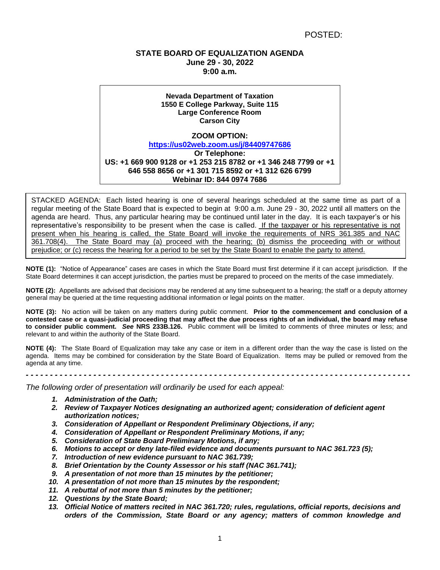# **STATE BOARD OF EQUALIZATION AGENDA June 29 - 30, 2022 9:00 a.m.**

**Nevada Department of Taxation 1550 E College Parkway, Suite 115 Large Conference Room Carson City ZOOM OPTION: <https://us02web.zoom.us/j/84409747686> Or Telephone: US: +1 669 900 9128 or +1 253 215 8782 or +1 346 248 7799 or +1 646 558 8656 or +1 301 715 8592 or +1 312 626 6799 Webinar ID: 844 0974 7686**

STACKED AGENDA: Each listed hearing is one of several hearings scheduled at the same time as part of a regular meeting of the State Board that is expected to begin at 9:00 a.m. June 29 - 30, 2022 until all matters on the agenda are heard. Thus, any particular hearing may be continued until later in the day. It is each taxpayer's or his representative's responsibility to be present when the case is called. If the taxpayer or his representative is not present when his hearing is called, the State Board will invoke the requirements of NRS 361.385 and NAC 361.708(4). The State Board may (a) proceed with the hearing; (b) dismiss the proceeding with or without prejudice; or (c) recess the hearing for a period to be set by the State Board to enable the party to attend.

**NOTE (1):** "Notice of Appearance" cases are cases in which the State Board must first determine if it can accept jurisdiction. If the State Board determines it can accept jurisdiction, the parties must be prepared to proceed on the merits of the case immediately.

**NOTE (2):** Appellants are advised that decisions may be rendered at any time subsequent to a hearing; the staff or a deputy attorney general may be queried at the time requesting additional information or legal points on the matter.

**NOTE (3):** No action will be taken on any matters during public comment. **Prior to the commencement and conclusion of a contested case or a quasi-judicial proceeding that may affect the due process rights of an individual, the board may refuse to consider public comment.** *See* **NRS 233B.126.** Public comment will be limited to comments of three minutes or less; and relevant to and within the authority of the State Board.

**NOTE (4):** The State Board of Equalization may take any case or item in a different order than the way the case is listed on the agenda. Items may be combined for consideration by the State Board of Equalization. Items may be pulled or removed from the agenda at any time.

*- - - - - - - - - - - - - - - - - - - - - - - - - - - - - - - - - - - - - - - - - - - - - - - - - - - - - - - - - - - - - - - - - - - - - - - - - - - - - - - -*

*The following order of presentation will ordinarily be used for each appeal:*

- *1. Administration of the Oath;*
- *2. Review of Taxpayer Notices designating an authorized agent; consideration of deficient agent authorization notices;*
- *3. Consideration of Appellant or Respondent Preliminary Objections, if any;*
- *4. Consideration of Appellant or Respondent Preliminary Motions, if any;*
- *5. Consideration of State Board Preliminary Motions, if any;*
- *6. Motions to accept or deny late-filed evidence and documents pursuant to NAC 361.723 (5);*
- *7. Introduction of new evidence pursuant to NAC 361.739;*
- *8. Brief Orientation by the County Assessor or his staff (NAC 361.741);*
- *9. A presentation of not more than 15 minutes by the petitioner;*
- *10. A presentation of not more than 15 minutes by the respondent;*
- *11. A rebuttal of not more than 5 minutes by the petitioner;*
- *12. Questions by the State Board;*
- *13. Official Notice of matters recited in NAC 361.720; rules, regulations, official reports, decisions and orders of the Commission, State Board or any agency; matters of common knowledge and*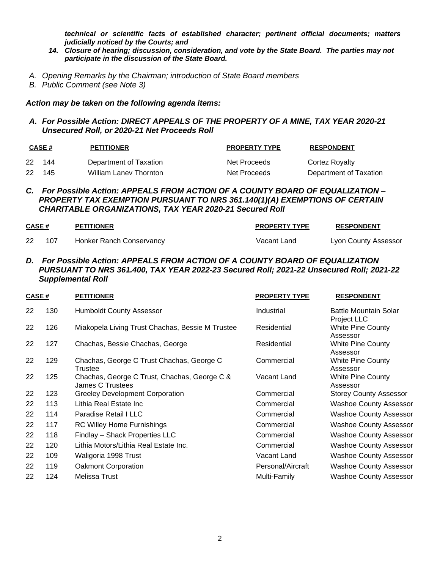*technical or scientific facts of established character; pertinent official documents; matters judicially noticed by the Courts; and*

- *14. Closure of hearing; discussion, consideration, and vote by the State Board. The parties may not participate in the discussion of the State Board.*
- *A. Opening Remarks by the Chairman; introduction of State Board members*
- *B. Public Comment (see Note 3)*

### *Action may be taken on the following agenda items:*

#### *A. For Possible Action: DIRECT APPEALS OF THE PROPERTY OF A MINE, TAX YEAR 2020-21 Unsecured Roll, or 2020-21 Net Proceeds Roll*

|    | CASE # | <b>PETITIONER</b>             | <b>PROPERTY TYPE</b> | <b>RESPONDENT</b>      |
|----|--------|-------------------------------|----------------------|------------------------|
| 22 | 144    | Department of Taxation        | Net Proceeds         | Cortez Royalty         |
| 22 | -145   | <b>William Lanev Thornton</b> | Net Proceeds         | Department of Taxation |

## *C. For Possible Action: APPEALS FROM ACTION OF A COUNTY BOARD OF EQUALIZATION – PROPERTY TAX EXEMPTION PURSUANT TO NRS 361.140(1)(A) EXEMPTIONS OF CERTAIN CHARITABLE ORGANIZATIONS, TAX YEAR 2020-21 Secured Roll*

| CASE# |     | <b>PETITIONER</b>        | <b>PROPERTY TYPE</b> | <b>RESPONDENT</b>    |
|-------|-----|--------------------------|----------------------|----------------------|
|       | 107 | Honker Ranch Conservancy | Vacant Land          | Lyon County Assessor |

*D. For Possible Action: APPEALS FROM ACTION OF A COUNTY BOARD OF EQUALIZATION PURSUANT TO NRS 361.400, TAX YEAR 2022-23 Secured Roll; 2021-22 Unsecured Roll; 2021-22 Supplemental Roll*

| CASE #<br><b>PETITIONER</b> |     | <b>PROPERTY TYPE</b>                                                    | <b>RESPONDENT</b> |                                                     |
|-----------------------------|-----|-------------------------------------------------------------------------|-------------------|-----------------------------------------------------|
| 22                          | 130 | <b>Humboldt County Assessor</b>                                         | Industrial        | <b>Battle Mountain Solar</b>                        |
| 22                          | 126 | Miakopela Living Trust Chachas, Bessie M Trustee                        | Residential       | Project LLC<br><b>White Pine County</b><br>Assessor |
| 22                          | 127 | Chachas, Bessie Chachas, George                                         | Residential       | <b>White Pine County</b><br>Assessor                |
| 22                          | 129 | Chachas, George C Trust Chachas, George C<br>Trustee                    | Commercial        | White Pine County<br>Assessor                       |
| 22                          | 125 | Chachas, George C Trust, Chachas, George C &<br><b>James C Trustees</b> | Vacant Land       | White Pine County<br>Assessor                       |
| 22                          | 123 | <b>Greeley Development Corporation</b>                                  | Commercial        | <b>Storey County Assessor</b>                       |
| 22                          | 113 | Lithia Real Estate Inc                                                  | Commercial        | <b>Washoe County Assessor</b>                       |
| 22                          | 114 | Paradise Retail I LLC                                                   | Commercial        | <b>Washoe County Assessor</b>                       |
| 22                          | 117 | <b>RC Willey Home Furnishings</b>                                       | Commercial        | <b>Washoe County Assessor</b>                       |
| 22                          | 118 | Findlay - Shack Properties LLC                                          | Commercial        | <b>Washoe County Assessor</b>                       |
| 22                          | 120 | Lithia Motors/Lithia Real Estate Inc.                                   | Commercial        | <b>Washoe County Assessor</b>                       |
| 22                          | 109 | Waligoria 1998 Trust                                                    | Vacant Land       | <b>Washoe County Assessor</b>                       |
| 22                          | 119 | Oakmont Corporation                                                     | Personal/Aircraft | <b>Washoe County Assessor</b>                       |
| 22                          | 124 | Melissa Trust                                                           | Multi-Family      | <b>Washoe County Assessor</b>                       |